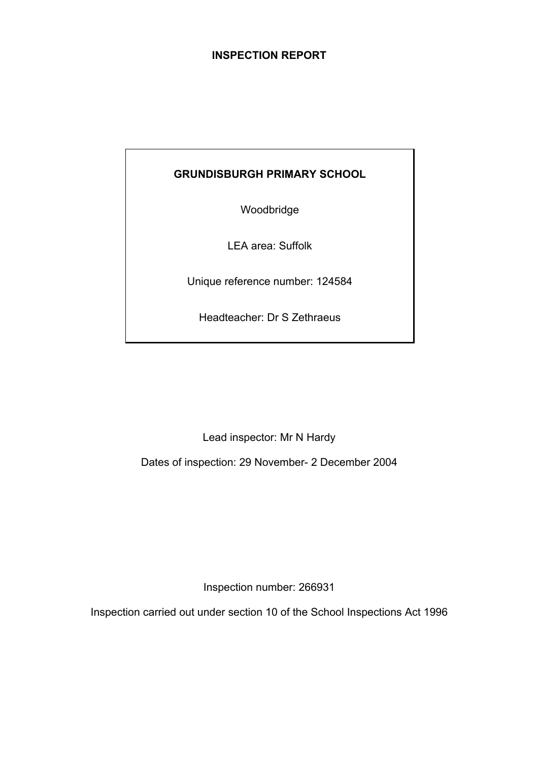### **INSPECTION REPORT**

## **GRUNDISBURGH PRIMARY SCHOOL**

Woodbridge

LEA area: Suffolk

Unique reference number: 124584

Headteacher: Dr S Zethraeus

Lead inspector: Mr N Hardy

Dates of inspection: 29 November- 2 December 2004

Inspection number: 266931

Inspection carried out under section 10 of the School Inspections Act 1996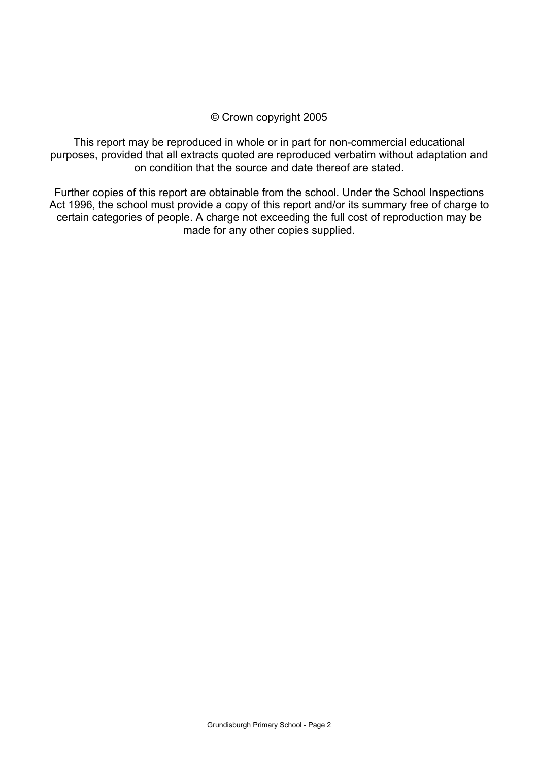### © Crown copyright 2005

This report may be reproduced in whole or in part for non-commercial educational purposes, provided that all extracts quoted are reproduced verbatim without adaptation and on condition that the source and date thereof are stated.

Further copies of this report are obtainable from the school. Under the School Inspections Act 1996, the school must provide a copy of this report and/or its summary free of charge to certain categories of people. A charge not exceeding the full cost of reproduction may be made for any other copies supplied.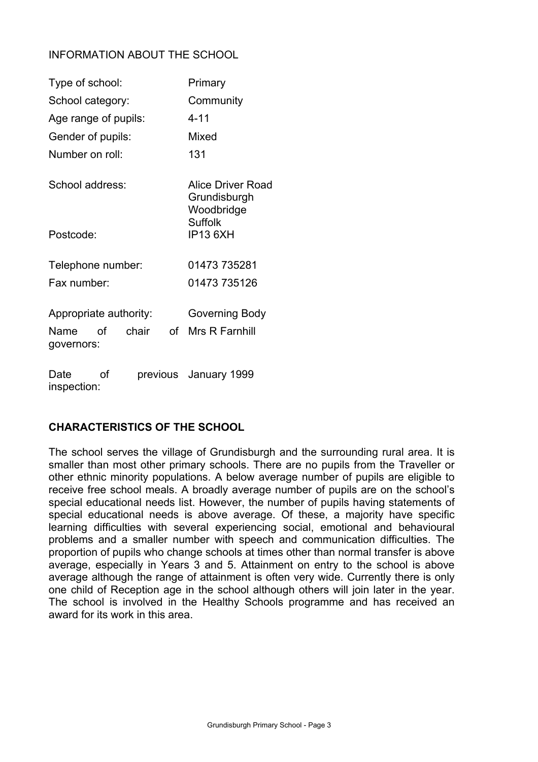### INFORMATION ABOUT THE SCHOOL

| Type of school:        |    | Primary                           |              |                                                 |
|------------------------|----|-----------------------------------|--------------|-------------------------------------------------|
| School category:       |    | Community                         |              |                                                 |
| Age range of pupils:   |    | $4 - 11$                          |              |                                                 |
| Gender of pupils:      |    |                                   |              | Mixed                                           |
| Number on roll:        |    |                                   |              | 131                                             |
| School address:        |    |                                   |              | Alice Driver Road<br>Grundisburgh<br>Woodbridge |
| Postcode:              |    | <b>Suffolk</b><br><b>IP13 6XH</b> |              |                                                 |
| Telephone number:      |    |                                   |              | 01473 735281                                    |
| Fax number:            |    |                                   | 01473 735126 |                                                 |
| Appropriate authority: |    |                                   |              | Governing Body                                  |
| Name<br>governors:     | റf | chair                             | of           | Mrs R Farnhill                                  |
| Date<br>inspection:    | Ωf |                                   |              | previous January 1999                           |

### **CHARACTERISTICS OF THE SCHOOL**

The school serves the village of Grundisburgh and the surrounding rural area. It is smaller than most other primary schools. There are no pupils from the Traveller or other ethnic minority populations. A below average number of pupils are eligible to receive free school meals. A broadly average number of pupils are on the school's special educational needs list. However, the number of pupils having statements of special educational needs is above average. Of these, a majority have specific learning difficulties with several experiencing social, emotional and behavioural problems and a smaller number with speech and communication difficulties. The proportion of pupils who change schools at times other than normal transfer is above average, especially in Years 3 and 5. Attainment on entry to the school is above average although the range of attainment is often very wide. Currently there is only one child of Reception age in the school although others will join later in the year. The school is involved in the Healthy Schools programme and has received an award for its work in this area.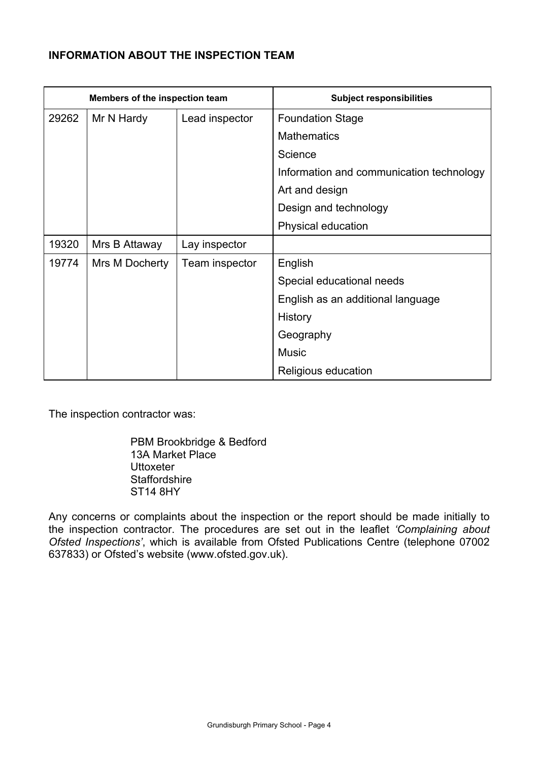## **INFORMATION ABOUT THE INSPECTION TEAM**

|       | Members of the inspection team |                | <b>Subject responsibilities</b>          |
|-------|--------------------------------|----------------|------------------------------------------|
| 29262 | Mr N Hardy                     | Lead inspector | <b>Foundation Stage</b>                  |
|       |                                |                | <b>Mathematics</b>                       |
|       |                                |                | Science                                  |
|       |                                |                | Information and communication technology |
|       |                                |                | Art and design                           |
|       |                                |                | Design and technology                    |
|       |                                |                | Physical education                       |
| 19320 | Mrs B Attaway                  | Lay inspector  |                                          |
| 19774 | Mrs M Docherty                 | Team inspector | English                                  |
|       |                                |                | Special educational needs                |
|       |                                |                | English as an additional language        |
|       |                                |                | History                                  |
|       |                                |                | Geography                                |
|       |                                |                | <b>Music</b>                             |
|       |                                |                | Religious education                      |

The inspection contractor was:

 PBM Brookbridge & Bedford 13A Market Place **Uttoxeter Staffordshire** ST14 8HY

Any concerns or complaints about the inspection or the report should be made initially to the inspection contractor. The procedures are set out in the leaflet *'Complaining about Ofsted Inspections'*, which is available from Ofsted Publications Centre (telephone 07002 637833) or Ofsted's website (www.ofsted.gov.uk).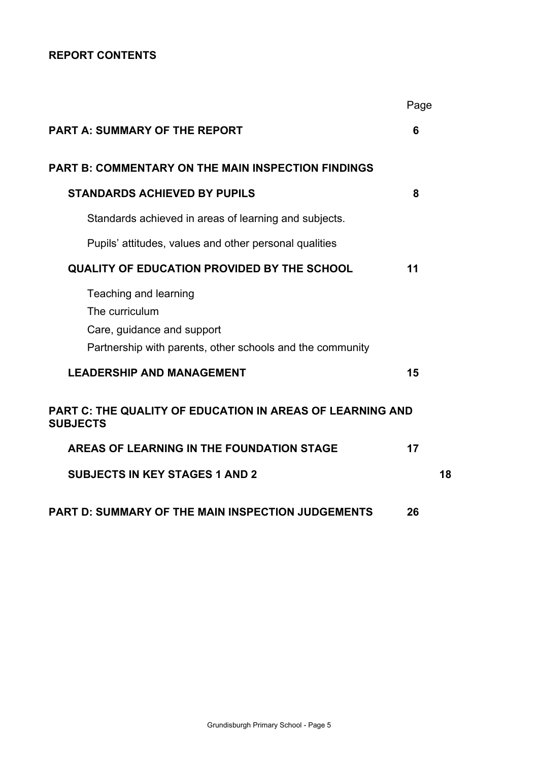## **REPORT CONTENTS**

|                                                                                                                                    | Page |    |
|------------------------------------------------------------------------------------------------------------------------------------|------|----|
| <b>PART A: SUMMARY OF THE REPORT</b>                                                                                               | 6    |    |
| <b>PART B: COMMENTARY ON THE MAIN INSPECTION FINDINGS</b>                                                                          |      |    |
| <b>STANDARDS ACHIEVED BY PUPILS</b>                                                                                                | 8    |    |
| Standards achieved in areas of learning and subjects.                                                                              |      |    |
| Pupils' attitudes, values and other personal qualities                                                                             |      |    |
| <b>QUALITY OF EDUCATION PROVIDED BY THE SCHOOL</b>                                                                                 | 11   |    |
| Teaching and learning<br>The curriculum<br>Care, guidance and support<br>Partnership with parents, other schools and the community |      |    |
| <b>LEADERSHIP AND MANAGEMENT</b>                                                                                                   | 15   |    |
| PART C: THE QUALITY OF EDUCATION IN AREAS OF LEARNING AND<br><b>SUBJECTS</b>                                                       |      |    |
| AREAS OF LEARNING IN THE FOUNDATION STAGE                                                                                          | 17   |    |
| <b>SUBJECTS IN KEY STAGES 1 AND 2</b>                                                                                              |      | 18 |
| <b>PART D: SUMMARY OF THE MAIN INSPECTION JUDGEMENTS</b>                                                                           | 26   |    |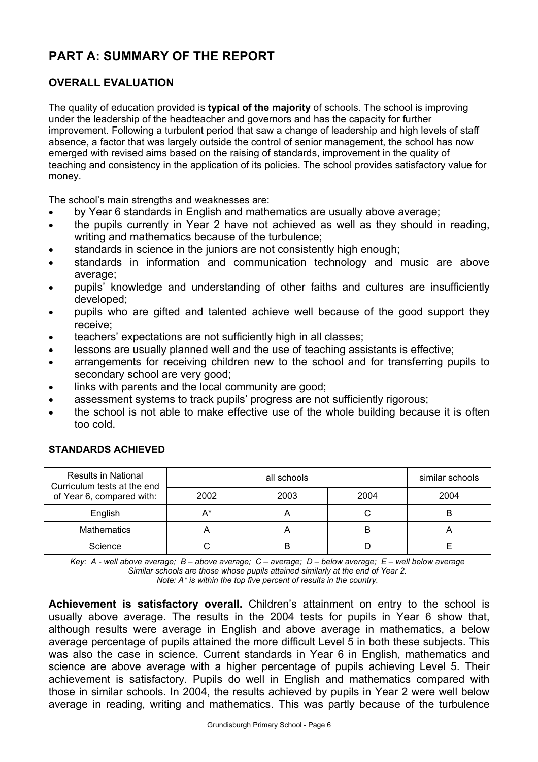# **PART A: SUMMARY OF THE REPORT**

### **OVERALL EVALUATION**

The quality of education provided is **typical of the majority** of schools. The school is improving under the leadership of the headteacher and governors and has the capacity for further improvement. Following a turbulent period that saw a change of leadership and high levels of staff absence, a factor that was largely outside the control of senior management, the school has now emerged with revised aims based on the raising of standards, improvement in the quality of teaching and consistency in the application of its policies. The school provides satisfactory value for money.

The school's main strengths and weaknesses are:

- by Year 6 standards in English and mathematics are usually above average;
- the pupils currently in Year 2 have not achieved as well as they should in reading, writing and mathematics because of the turbulence;
- standards in science in the juniors are not consistently high enough;
- standards in information and communication technology and music are above average;
- pupils' knowledge and understanding of other faiths and cultures are insufficiently developed;
- pupils who are gifted and talented achieve well because of the good support they receive;
- teachers' expectations are not sufficiently high in all classes;
- lessons are usually planned well and the use of teaching assistants is effective;
- arrangements for receiving children new to the school and for transferring pupils to secondary school are very good;
- links with parents and the local community are good;
- assessment systems to track pupils' progress are not sufficiently rigorous;
- the school is not able to make effective use of the whole building because it is often too cold.

| <b>Results in National</b><br>Curriculum tests at the end |      | similar schools |      |      |
|-----------------------------------------------------------|------|-----------------|------|------|
| of Year 6, compared with:                                 | 2002 | 2003            | 2004 | 2004 |
| English                                                   | А*   |                 |      | B    |
| <b>Mathematics</b>                                        |      |                 | B    |      |
| Science                                                   |      | B               |      |      |

#### **STANDARDS ACHIEVED**

*Key: A - well above average; B – above average; C – average; D – below average; E – well below average Similar schools are those whose pupils attained similarly at the end of Year 2.* 

*Note: A\* is within the top five percent of results in the country.*

**Achievement is satisfactory overall.** Children's attainment on entry to the school is usually above average. The results in the 2004 tests for pupils in Year 6 show that, although results were average in English and above average in mathematics, a below average percentage of pupils attained the more difficult Level 5 in both these subjects. This was also the case in science. Current standards in Year 6 in English, mathematics and science are above average with a higher percentage of pupils achieving Level 5. Their achievement is satisfactory. Pupils do well in English and mathematics compared with those in similar schools. In 2004, the results achieved by pupils in Year 2 were well below average in reading, writing and mathematics. This was partly because of the turbulence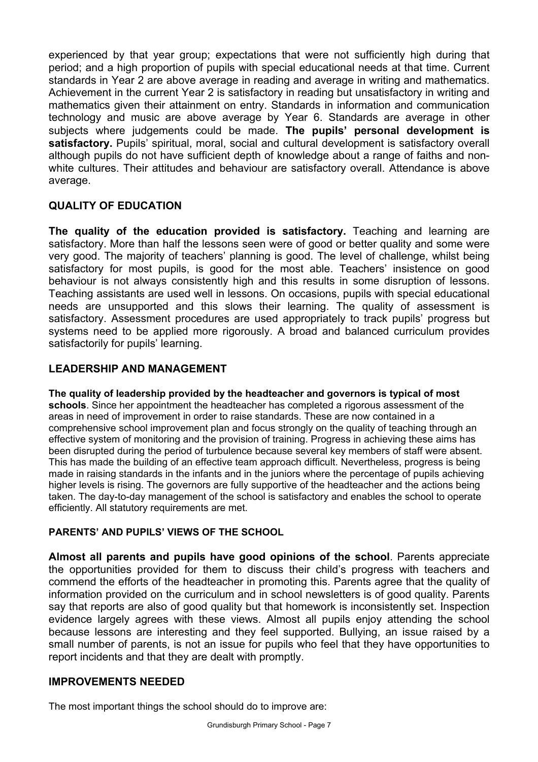experienced by that year group; expectations that were not sufficiently high during that period; and a high proportion of pupils with special educational needs at that time. Current standards in Year 2 are above average in reading and average in writing and mathematics. Achievement in the current Year 2 is satisfactory in reading but unsatisfactory in writing and mathematics given their attainment on entry. Standards in information and communication technology and music are above average by Year 6. Standards are average in other subjects where judgements could be made. **The pupils' personal development is**  satisfactory. Pupils' spiritual, moral, social and cultural development is satisfactory overall although pupils do not have sufficient depth of knowledge about a range of faiths and nonwhite cultures. Their attitudes and behaviour are satisfactory overall. Attendance is above average.

### **QUALITY OF EDUCATION**

**The quality of the education provided is satisfactory.** Teaching and learning are satisfactory. More than half the lessons seen were of good or better quality and some were very good. The majority of teachers' planning is good. The level of challenge, whilst being satisfactory for most pupils, is good for the most able. Teachers' insistence on good behaviour is not always consistently high and this results in some disruption of lessons. Teaching assistants are used well in lessons. On occasions, pupils with special educational needs are unsupported and this slows their learning. The quality of assessment is satisfactory. Assessment procedures are used appropriately to track pupils' progress but systems need to be applied more rigorously. A broad and balanced curriculum provides satisfactorily for pupils' learning.

### **LEADERSHIP AND MANAGEMENT**

**The quality of leadership provided by the headteacher and governors is typical of most schools**. Since her appointment the headteacher has completed a rigorous assessment of the areas in need of improvement in order to raise standards. These are now contained in a comprehensive school improvement plan and focus strongly on the quality of teaching through an effective system of monitoring and the provision of training. Progress in achieving these aims has been disrupted during the period of turbulence because several key members of staff were absent. This has made the building of an effective team approach difficult. Nevertheless, progress is being made in raising standards in the infants and in the juniors where the percentage of pupils achieving higher levels is rising. The governors are fully supportive of the headteacher and the actions being taken. The day-to-day management of the school is satisfactory and enables the school to operate efficiently. All statutory requirements are met.

### **PARENTS' AND PUPILS' VIEWS OF THE SCHOOL**

**Almost all parents and pupils have good opinions of the school**. Parents appreciate the opportunities provided for them to discuss their child's progress with teachers and commend the efforts of the headteacher in promoting this. Parents agree that the quality of information provided on the curriculum and in school newsletters is of good quality. Parents say that reports are also of good quality but that homework is inconsistently set. Inspection evidence largely agrees with these views. Almost all pupils enjoy attending the school because lessons are interesting and they feel supported. Bullying, an issue raised by a small number of parents, is not an issue for pupils who feel that they have opportunities to report incidents and that they are dealt with promptly.

### **IMPROVEMENTS NEEDED**

The most important things the school should do to improve are: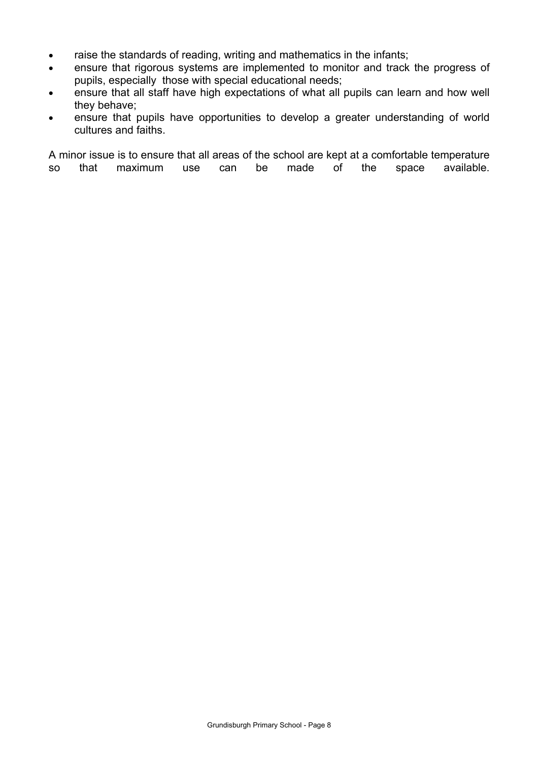- raise the standards of reading, writing and mathematics in the infants;
- ensure that rigorous systems are implemented to monitor and track the progress of pupils, especially those with special educational needs;
- ensure that all staff have high expectations of what all pupils can learn and how well they behave;
- ensure that pupils have opportunities to develop a greater understanding of world cultures and faiths.

A minor issue is to ensure that all areas of the school are kept at a comfortable temperature so that maximum use can be made of the space available.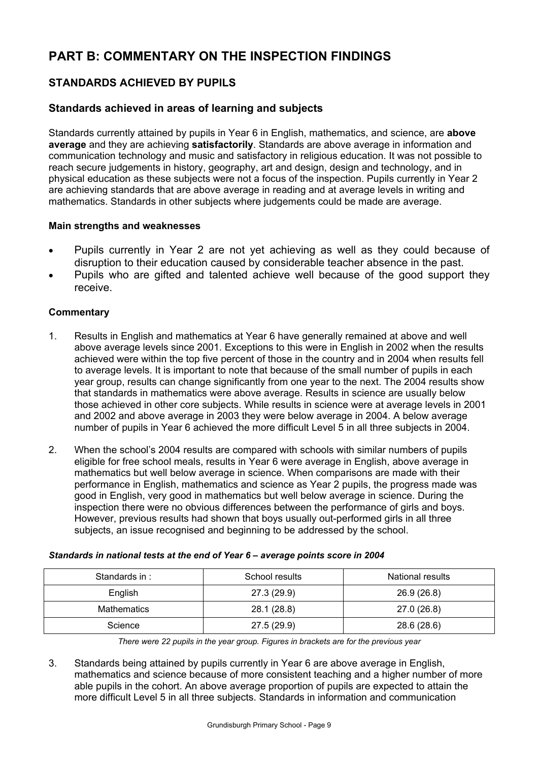# **PART B: COMMENTARY ON THE INSPECTION FINDINGS**

### **STANDARDS ACHIEVED BY PUPILS**

### **Standards achieved in areas of learning and subjects**

Standards currently attained by pupils in Year 6 in English, mathematics, and science, are **above average** and they are achieving **satisfactorily**. Standards are above average in information and communication technology and music and satisfactory in religious education. It was not possible to reach secure judgements in history, geography, art and design, design and technology, and in physical education as these subjects were not a focus of the inspection. Pupils currently in Year 2 are achieving standards that are above average in reading and at average levels in writing and mathematics. Standards in other subjects where judgements could be made are average.

#### **Main strengths and weaknesses**

- Pupils currently in Year 2 are not yet achieving as well as they could because of disruption to their education caused by considerable teacher absence in the past.
- Pupils who are gifted and talented achieve well because of the good support they receive.

#### **Commentary**

- 1. Results in English and mathematics at Year 6 have generally remained at above and well above average levels since 2001. Exceptions to this were in English in 2002 when the results achieved were within the top five percent of those in the country and in 2004 when results fell to average levels. It is important to note that because of the small number of pupils in each year group, results can change significantly from one year to the next. The 2004 results show that standards in mathematics were above average. Results in science are usually below those achieved in other core subjects. While results in science were at average levels in 2001 and 2002 and above average in 2003 they were below average in 2004. A below average number of pupils in Year 6 achieved the more difficult Level 5 in all three subjects in 2004.
- 2. When the school's 2004 results are compared with schools with similar numbers of pupils eligible for free school meals, results in Year 6 were average in English, above average in mathematics but well below average in science. When comparisons are made with their performance in English, mathematics and science as Year 2 pupils, the progress made was good in English, very good in mathematics but well below average in science. During the inspection there were no obvious differences between the performance of girls and boys. However, previous results had shown that boys usually out-performed girls in all three subjects, an issue recognised and beginning to be addressed by the school.

| Standards in: | School results | National results |
|---------------|----------------|------------------|
| English       | 27.3 (29.9)    | 26.9 (26.8)      |
| Mathematics   | 28.1 (28.8)    | 27.0 (26.8)      |
| Science       | 27.5 (29.9)    | 28.6 (28.6)      |

#### *Standards in national tests at the end of Year 6 – average points score in 2004*

*There were 22 pupils in the year group. Figures in brackets are for the previous year* 

3. Standards being attained by pupils currently in Year 6 are above average in English, mathematics and science because of more consistent teaching and a higher number of more able pupils in the cohort. An above average proportion of pupils are expected to attain the more difficult Level 5 in all three subjects. Standards in information and communication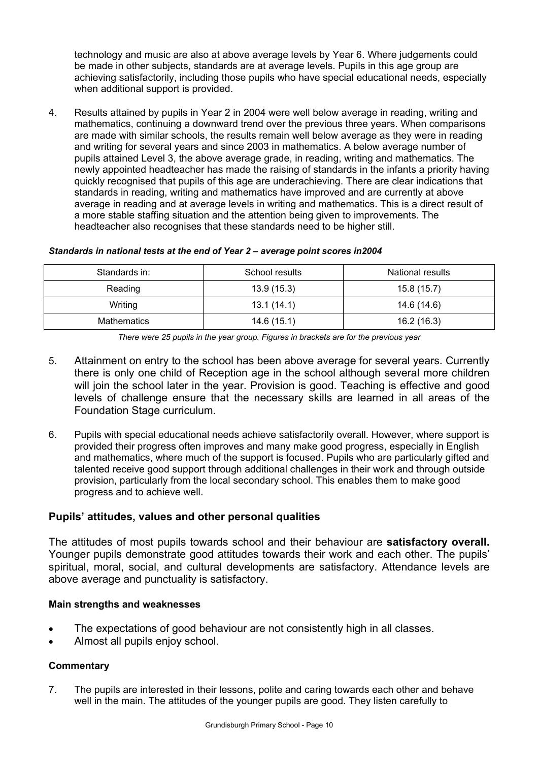technology and music are also at above average levels by Year 6. Where judgements could be made in other subjects, standards are at average levels. Pupils in this age group are achieving satisfactorily, including those pupils who have special educational needs, especially when additional support is provided.

4. Results attained by pupils in Year 2 in 2004 were well below average in reading, writing and mathematics, continuing a downward trend over the previous three years. When comparisons are made with similar schools, the results remain well below average as they were in reading and writing for several years and since 2003 in mathematics. A below average number of pupils attained Level 3, the above average grade, in reading, writing and mathematics. The newly appointed headteacher has made the raising of standards in the infants a priority having quickly recognised that pupils of this age are underachieving. There are clear indications that standards in reading, writing and mathematics have improved and are currently at above average in reading and at average levels in writing and mathematics. This is a direct result of a more stable staffing situation and the attention being given to improvements. The headteacher also recognises that these standards need to be higher still.

#### *Standards in national tests at the end of Year 2 – average point scores in2004*

| Standards in: | School results | National results |
|---------------|----------------|------------------|
| Reading       | 13.9(15.3)     | 15.8(15.7)       |
| Writing       | 13.1(14.1)     | 14.6 (14.6)      |
| Mathematics   | 14.6(15.1)     | 16.2 (16.3)      |

*There were 25 pupils in the year group. Figures in brackets are for the previous year* 

- 5. Attainment on entry to the school has been above average for several years. Currently there is only one child of Reception age in the school although several more children will join the school later in the year. Provision is good. Teaching is effective and good levels of challenge ensure that the necessary skills are learned in all areas of the Foundation Stage curriculum.
- 6. Pupils with special educational needs achieve satisfactorily overall. However, where support is provided their progress often improves and many make good progress, especially in English and mathematics, where much of the support is focused. Pupils who are particularly gifted and talented receive good support through additional challenges in their work and through outside provision, particularly from the local secondary school. This enables them to make good progress and to achieve well.

### **Pupils' attitudes, values and other personal qualities**

The attitudes of most pupils towards school and their behaviour are **satisfactory overall.**  Younger pupils demonstrate good attitudes towards their work and each other. The pupils' spiritual, moral, social, and cultural developments are satisfactory. Attendance levels are above average and punctuality is satisfactory.

### **Main strengths and weaknesses**

- The expectations of good behaviour are not consistently high in all classes.
- Almost all pupils enjoy school.

### **Commentary**

7. The pupils are interested in their lessons, polite and caring towards each other and behave well in the main. The attitudes of the younger pupils are good. They listen carefully to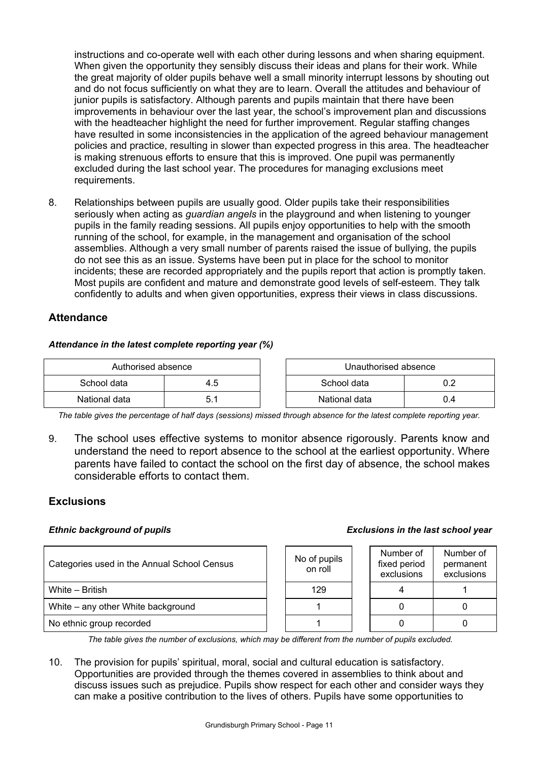instructions and co-operate well with each other during lessons and when sharing equipment. When given the opportunity they sensibly discuss their ideas and plans for their work. While the great majority of older pupils behave well a small minority interrupt lessons by shouting out and do not focus sufficiently on what they are to learn. Overall the attitudes and behaviour of junior pupils is satisfactory. Although parents and pupils maintain that there have been improvements in behaviour over the last year, the school's improvement plan and discussions with the headteacher highlight the need for further improvement. Regular staffing changes have resulted in some inconsistencies in the application of the agreed behaviour management policies and practice, resulting in slower than expected progress in this area. The headteacher is making strenuous efforts to ensure that this is improved. One pupil was permanently excluded during the last school year. The procedures for managing exclusions meet requirements.

8. Relationships between pupils are usually good. Older pupils take their responsibilities seriously when acting as *guardian angels* in the playground and when listening to younger pupils in the family reading sessions. All pupils enjoy opportunities to help with the smooth running of the school, for example, in the management and organisation of the school assemblies. Although a very small number of parents raised the issue of bullying, the pupils do not see this as an issue. Systems have been put in place for the school to monitor incidents; these are recorded appropriately and the pupils report that action is promptly taken. Most pupils are confident and mature and demonstrate good levels of self-esteem. They talk confidently to adults and when given opportunities, express their views in class discussions.

### **Attendance**

#### *Attendance in the latest complete reporting year (%)*

| Authorised absence |     | Unauthorised absence |     |
|--------------------|-----|----------------------|-----|
| School data        | 4.5 | School data          |     |
| National data      |     | National data        | J.4 |

*The table gives the percentage of half days (sessions) missed through absence for the latest complete reporting year.*

9. The school uses effective systems to monitor absence rigorously. Parents know and understand the need to report absence to the school at the earliest opportunity. Where parents have failed to contact the school on the first day of absence, the school makes considerable efforts to contact them.

#### **Exclusions**

| Categories used in the Annual School Census | No of pupils<br>on roll | Number of<br>fixed period<br>exclusions | <b>Numbe</b><br>perma<br>exclus |
|---------------------------------------------|-------------------------|-----------------------------------------|---------------------------------|
| White - British                             | 129                     |                                         |                                 |
| White – any other White background          |                         |                                         | 0                               |
| No ethnic group recorded                    |                         |                                         | 0                               |

#### *Ethnic background of pupils Exclusions in the last school year*

| No of pupils<br>on roll | Number of<br>fixed period<br>exclusions | Number of<br>permanent<br>exclusions |
|-------------------------|-----------------------------------------|--------------------------------------|
| 129                     |                                         |                                      |
|                         |                                         |                                      |
|                         |                                         |                                      |

*The table gives the number of exclusions, which may be different from the number of pupils excluded.*

10. The provision for pupils' spiritual, moral, social and cultural education is satisfactory. Opportunities are provided through the themes covered in assemblies to think about and discuss issues such as prejudice. Pupils show respect for each other and consider ways they can make a positive contribution to the lives of others. Pupils have some opportunities to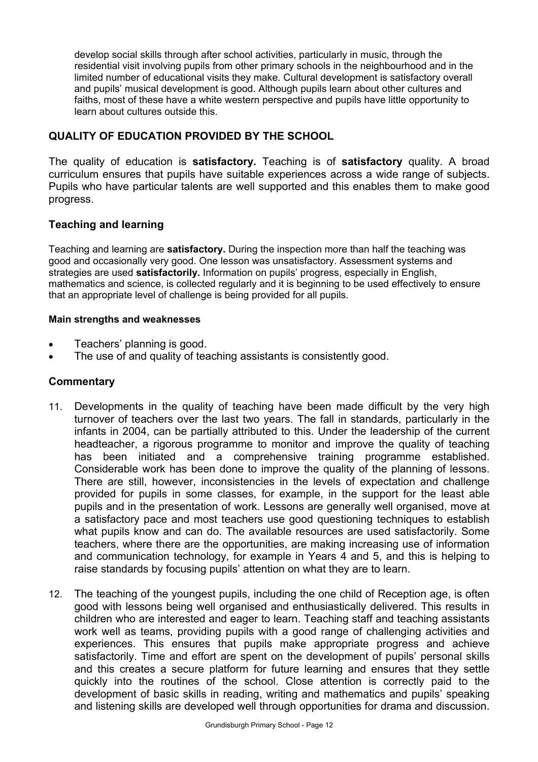develop social skills through after school activities, particularly in music, through the residential visit involving pupils from other primary schools in the neighbourhood and in the limited number of educational visits they make. Cultural development is satisfactory overall and pupils' musical development is good. Although pupils learn about other cultures and faiths, most of these have a white western perspective and pupils have little opportunity to learn about cultures outside this.

### **QUALITY OF EDUCATION PROVIDED BY THE SCHOOL**

The quality of education is **satisfactory.** Teaching is of **satisfactory** quality. A broad curriculum ensures that pupils have suitable experiences across a wide range of subjects. Pupils who have particular talents are well supported and this enables them to make good progress.

### **Teaching and learning**

Teaching and learning are **satisfactory.** During the inspection more than half the teaching was good and occasionally very good. One lesson was unsatisfactory. Assessment systems and strategies are used **satisfactorily.** Information on pupils' progress, especially in English, mathematics and science, is collected regularly and it is beginning to be used effectively to ensure that an appropriate level of challenge is being provided for all pupils.

### **Main strengths and weaknesses**

- Teachers' planning is good.
- The use of and quality of teaching assistants is consistently good.

- 11. Developments in the quality of teaching have been made difficult by the very high turnover of teachers over the last two years. The fall in standards, particularly in the infants in 2004, can be partially attributed to this. Under the leadership of the current headteacher, a rigorous programme to monitor and improve the quality of teaching has been initiated and a comprehensive training programme established. Considerable work has been done to improve the quality of the planning of lessons. There are still, however, inconsistencies in the levels of expectation and challenge provided for pupils in some classes, for example, in the support for the least able pupils and in the presentation of work. Lessons are generally well organised, move at a satisfactory pace and most teachers use good questioning techniques to establish what pupils know and can do. The available resources are used satisfactorily. Some teachers, where there are the opportunities, are making increasing use of information and communication technology, for example in Years 4 and 5, and this is helping to raise standards by focusing pupils' attention on what they are to learn.
- 12. The teaching of the youngest pupils, including the one child of Reception age, is often good with lessons being well organised and enthusiastically delivered. This results in children who are interested and eager to learn. Teaching staff and teaching assistants work well as teams, providing pupils with a good range of challenging activities and experiences. This ensures that pupils make appropriate progress and achieve satisfactorily. Time and effort are spent on the development of pupils' personal skills and this creates a secure platform for future learning and ensures that they settle quickly into the routines of the school. Close attention is correctly paid to the development of basic skills in reading, writing and mathematics and pupils' speaking and listening skills are developed well through opportunities for drama and discussion.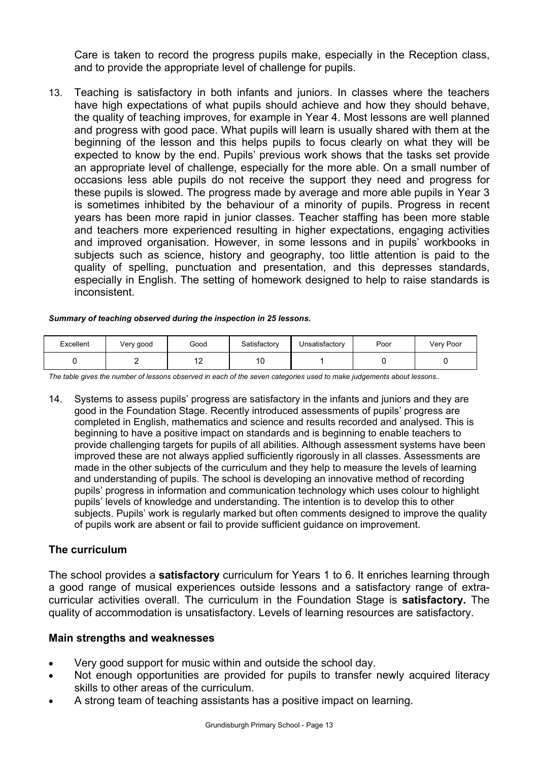Care is taken to record the progress pupils make, especially in the Reception class, and to provide the appropriate level of challenge for pupils.

13. Teaching is satisfactory in both infants and juniors. In classes where the teachers have high expectations of what pupils should achieve and how they should behave, the quality of teaching improves, for example in Year 4. Most lessons are well planned and progress with good pace. What pupils will learn is usually shared with them at the beginning of the lesson and this helps pupils to focus clearly on what they will be expected to know by the end. Pupils' previous work shows that the tasks set provide an appropriate level of challenge, especially for the more able. On a small number of occasions less able pupils do not receive the support they need and progress for these pupils is slowed. The progress made by average and more able pupils in Year 3 is sometimes inhibited by the behaviour of a minority of pupils. Progress in recent years has been more rapid in junior classes. Teacher staffing has been more stable and teachers more experienced resulting in higher expectations, engaging activities and improved organisation. However, in some lessons and in pupils' workbooks in subjects such as science, history and geography, too little attention is paid to the quality of spelling, punctuation and presentation, and this depresses standards, especially in English. The setting of homework designed to help to raise standards is inconsistent.

#### *Summary of teaching observed during the inspection in 25 lessons.*

| Excellent | Very good | Good                  | Satisfactory         | Unsatisfactory | Poor | Very Poor |
|-----------|-----------|-----------------------|----------------------|----------------|------|-----------|
|           |           | $\overline{A}$<br>' 4 | $\overline{A}$<br>טו |                |      |           |

*The table gives the number of lessons observed in each of the seven categories used to make judgements about lessons..* 

14. Systems to assess pupils' progress are satisfactory in the infants and juniors and they are good in the Foundation Stage. Recently introduced assessments of pupils' progress are completed in English, mathematics and science and results recorded and analysed. This is beginning to have a positive impact on standards and is beginning to enable teachers to provide challenging targets for pupils of all abilities. Although assessment systems have been improved these are not always applied sufficiently rigorously in all classes. Assessments are made in the other subjects of the curriculum and they help to measure the levels of learning and understanding of pupils. The school is developing an innovative method of recording pupils' progress in information and communication technology which uses colour to highlight pupils' levels of knowledge and understanding. The intention is to develop this to other subjects. Pupils' work is regularly marked but often comments designed to improve the quality of pupils work are absent or fail to provide sufficient guidance on improvement.

### **The curriculum**

The school provides a **satisfactory** curriculum for Years 1 to 6. It enriches learning through a good range of musical experiences outside lessons and a satisfactory range of extracurricular activities overall. The curriculum in the Foundation Stage is **satisfactory.** The quality of accommodation is unsatisfactory. Levels of learning resources are satisfactory.

#### **Main strengths and weaknesses**

- Very good support for music within and outside the school day.
- Not enough opportunities are provided for pupils to transfer newly acquired literacy skills to other areas of the curriculum.
- A strong team of teaching assistants has a positive impact on learning.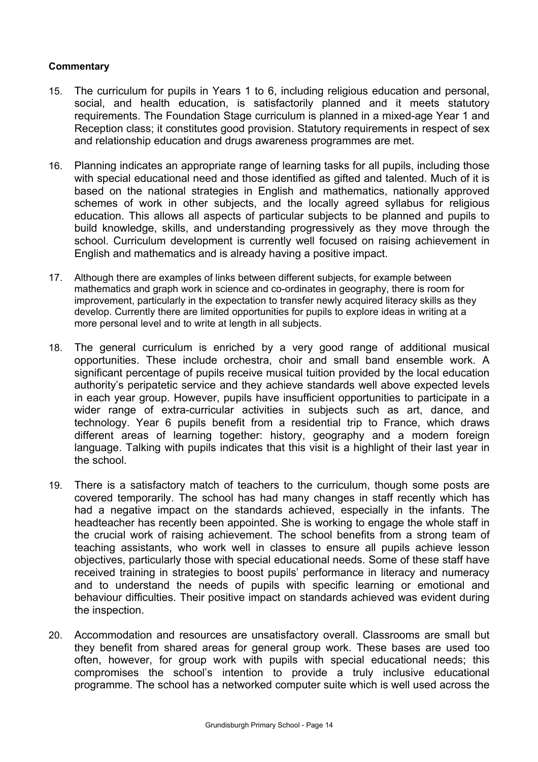- 15. The curriculum for pupils in Years 1 to 6, including religious education and personal, social, and health education, is satisfactorily planned and it meets statutory requirements. The Foundation Stage curriculum is planned in a mixed-age Year 1 and Reception class; it constitutes good provision. Statutory requirements in respect of sex and relationship education and drugs awareness programmes are met.
- 16. Planning indicates an appropriate range of learning tasks for all pupils, including those with special educational need and those identified as gifted and talented. Much of it is based on the national strategies in English and mathematics, nationally approved schemes of work in other subjects, and the locally agreed syllabus for religious education. This allows all aspects of particular subjects to be planned and pupils to build knowledge, skills, and understanding progressively as they move through the school. Curriculum development is currently well focused on raising achievement in English and mathematics and is already having a positive impact.
- 17. Although there are examples of links between different subjects, for example between mathematics and graph work in science and co-ordinates in geography, there is room for improvement, particularly in the expectation to transfer newly acquired literacy skills as they develop. Currently there are limited opportunities for pupils to explore ideas in writing at a more personal level and to write at length in all subjects.
- 18. The general curriculum is enriched by a very good range of additional musical opportunities. These include orchestra, choir and small band ensemble work. A significant percentage of pupils receive musical tuition provided by the local education authority's peripatetic service and they achieve standards well above expected levels in each year group. However, pupils have insufficient opportunities to participate in a wider range of extra-curricular activities in subjects such as art, dance, and technology. Year 6 pupils benefit from a residential trip to France, which draws different areas of learning together: history, geography and a modern foreign language. Talking with pupils indicates that this visit is a highlight of their last year in the school.
- 19. There is a satisfactory match of teachers to the curriculum, though some posts are covered temporarily. The school has had many changes in staff recently which has had a negative impact on the standards achieved, especially in the infants. The headteacher has recently been appointed. She is working to engage the whole staff in the crucial work of raising achievement. The school benefits from a strong team of teaching assistants, who work well in classes to ensure all pupils achieve lesson objectives, particularly those with special educational needs. Some of these staff have received training in strategies to boost pupils' performance in literacy and numeracy and to understand the needs of pupils with specific learning or emotional and behaviour difficulties. Their positive impact on standards achieved was evident during the inspection.
- 20. Accommodation and resources are unsatisfactory overall. Classrooms are small but they benefit from shared areas for general group work. These bases are used too often, however, for group work with pupils with special educational needs; this compromises the school's intention to provide a truly inclusive educational programme. The school has a networked computer suite which is well used across the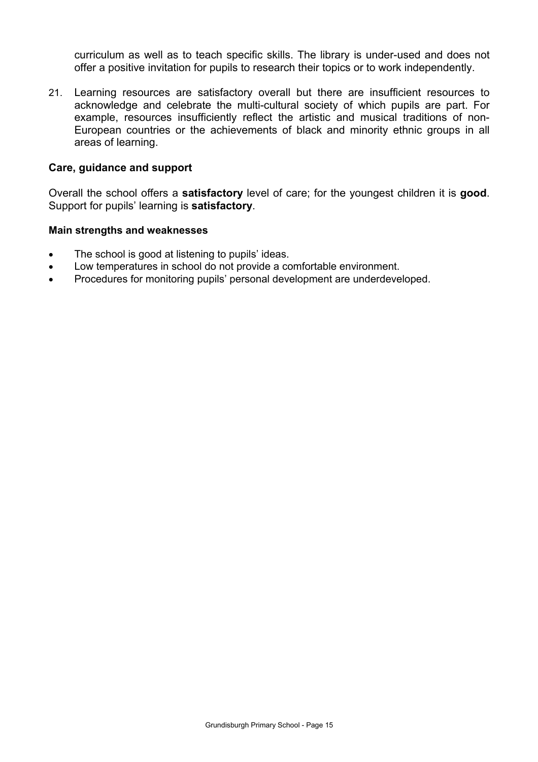curriculum as well as to teach specific skills. The library is under-used and does not offer a positive invitation for pupils to research their topics or to work independently.

21. Learning resources are satisfactory overall but there are insufficient resources to acknowledge and celebrate the multi-cultural society of which pupils are part. For example, resources insufficiently reflect the artistic and musical traditions of non-European countries or the achievements of black and minority ethnic groups in all areas of learning.

#### **Care, guidance and support**

Overall the school offers a **satisfactory** level of care; for the youngest children it is **good**. Support for pupils' learning is **satisfactory**.

#### **Main strengths and weaknesses**

- The school is good at listening to pupils' ideas.
- Low temperatures in school do not provide a comfortable environment.
- Procedures for monitoring pupils' personal development are underdeveloped.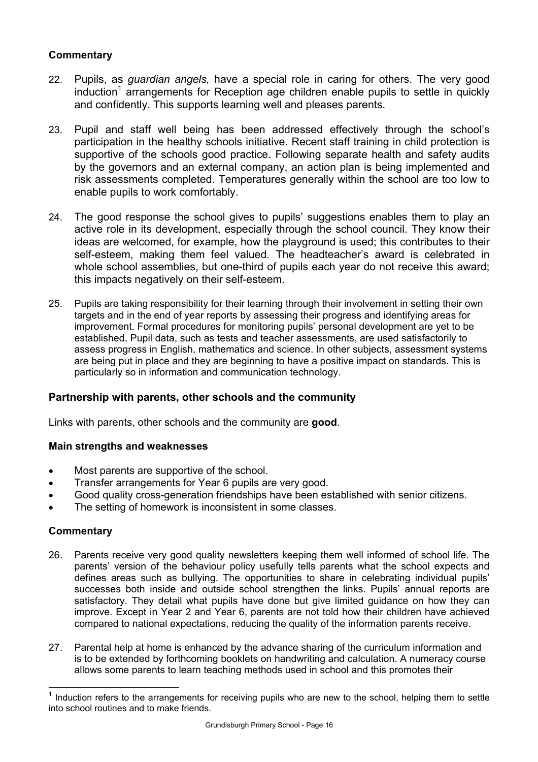### **Commentary**

- 22. Pupils, as *guardian angels,* have a special role in caring for others. The very good induction<sup>1</sup> arrangements for Reception age children enable pupils to settle in quickly and confidently. This supports learning well and pleases parents.
- 23. Pupil and staff well being has been addressed effectively through the school's participation in the healthy schools initiative. Recent staff training in child protection is supportive of the schools good practice. Following separate health and safety audits by the governors and an external company, an action plan is being implemented and risk assessments completed. Temperatures generally within the school are too low to enable pupils to work comfortably.
- 24. The good response the school gives to pupils' suggestions enables them to play an active role in its development, especially through the school council. They know their ideas are welcomed, for example, how the playground is used; this contributes to their self-esteem, making them feel valued. The headteacher's award is celebrated in whole school assemblies, but one-third of pupils each year do not receive this award; this impacts negatively on their self-esteem.
- 25. Pupils are taking responsibility for their learning through their involvement in setting their own targets and in the end of year reports by assessing their progress and identifying areas for improvement. Formal procedures for monitoring pupils' personal development are yet to be established. Pupil data, such as tests and teacher assessments, are used satisfactorily to assess progress in English, mathematics and science. In other subjects, assessment systems are being put in place and they are beginning to have a positive impact on standards. This is particularly so in information and communication technology.

#### **Partnership with parents, other schools and the community**

Links with parents, other schools and the community are **good**.

#### **Main strengths and weaknesses**

- Most parents are supportive of the school.
- Transfer arrangements for Year 6 pupils are very good.
- Good quality cross-generation friendships have been established with senior citizens.
- The setting of homework is inconsistent in some classes.

#### **Commentary**

l

- 26. Parents receive very good quality newsletters keeping them well informed of school life. The parents' version of the behaviour policy usefully tells parents what the school expects and defines areas such as bullying. The opportunities to share in celebrating individual pupils' successes both inside and outside school strengthen the links. Pupils' annual reports are satisfactory. They detail what pupils have done but give limited guidance on how they can improve. Except in Year 2 and Year 6, parents are not told how their children have achieved compared to national expectations, reducing the quality of the information parents receive.
- 27. Parental help at home is enhanced by the advance sharing of the curriculum information and is to be extended by forthcoming booklets on handwriting and calculation. A numeracy course allows some parents to learn teaching methods used in school and this promotes their

<sup>1</sup> Induction refers to the arrangements for receiving pupils who are new to the school, helping them to settle into school routines and to make friends.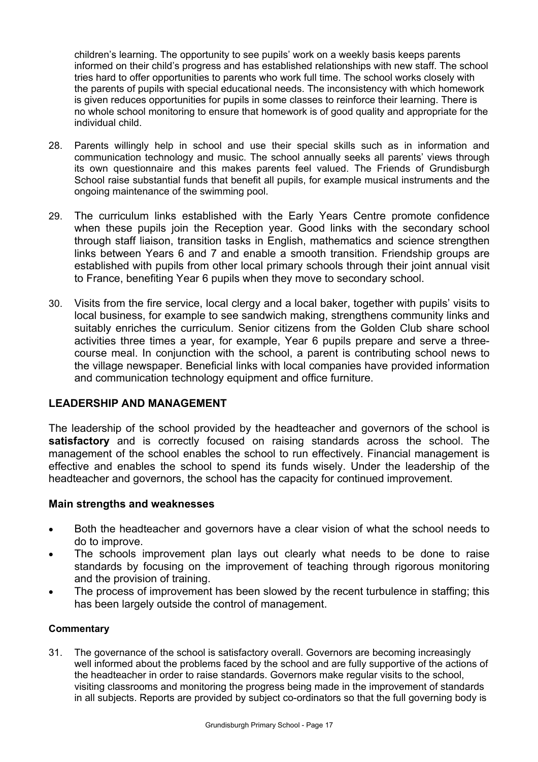children's learning. The opportunity to see pupils' work on a weekly basis keeps parents informed on their child's progress and has established relationships with new staff. The school tries hard to offer opportunities to parents who work full time. The school works closely with the parents of pupils with special educational needs. The inconsistency with which homework is given reduces opportunities for pupils in some classes to reinforce their learning. There is no whole school monitoring to ensure that homework is of good quality and appropriate for the individual child.

- 28. Parents willingly help in school and use their special skills such as in information and communication technology and music. The school annually seeks all parents' views through its own questionnaire and this makes parents feel valued. The Friends of Grundisburgh School raise substantial funds that benefit all pupils, for example musical instruments and the ongoing maintenance of the swimming pool.
- 29. The curriculum links established with the Early Years Centre promote confidence when these pupils join the Reception year. Good links with the secondary school through staff liaison, transition tasks in English, mathematics and science strengthen links between Years 6 and 7 and enable a smooth transition. Friendship groups are established with pupils from other local primary schools through their joint annual visit to France, benefiting Year 6 pupils when they move to secondary school.
- 30. Visits from the fire service, local clergy and a local baker, together with pupils' visits to local business, for example to see sandwich making, strengthens community links and suitably enriches the curriculum. Senior citizens from the Golden Club share school activities three times a year, for example, Year 6 pupils prepare and serve a threecourse meal. In conjunction with the school, a parent is contributing school news to the village newspaper. Beneficial links with local companies have provided information and communication technology equipment and office furniture.

### **LEADERSHIP AND MANAGEMENT**

The leadership of the school provided by the headteacher and governors of the school is **satisfactory** and is correctly focused on raising standards across the school. The management of the school enables the school to run effectively. Financial management is effective and enables the school to spend its funds wisely. Under the leadership of the headteacher and governors, the school has the capacity for continued improvement.

### **Main strengths and weaknesses**

- Both the headteacher and governors have a clear vision of what the school needs to do to improve.
- The schools improvement plan lays out clearly what needs to be done to raise standards by focusing on the improvement of teaching through rigorous monitoring and the provision of training.
- The process of improvement has been slowed by the recent turbulence in staffing; this has been largely outside the control of management.

### **Commentary**

31. The governance of the school is satisfactory overall. Governors are becoming increasingly well informed about the problems faced by the school and are fully supportive of the actions of the headteacher in order to raise standards. Governors make regular visits to the school, visiting classrooms and monitoring the progress being made in the improvement of standards in all subjects. Reports are provided by subject co-ordinators so that the full governing body is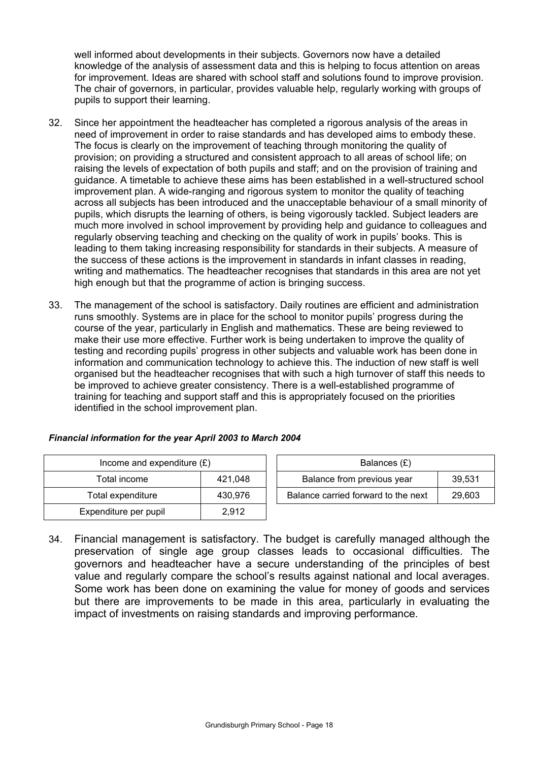well informed about developments in their subjects. Governors now have a detailed knowledge of the analysis of assessment data and this is helping to focus attention on areas for improvement. Ideas are shared with school staff and solutions found to improve provision. The chair of governors, in particular, provides valuable help, regularly working with groups of pupils to support their learning.

- 32. Since her appointment the headteacher has completed a rigorous analysis of the areas in need of improvement in order to raise standards and has developed aims to embody these. The focus is clearly on the improvement of teaching through monitoring the quality of provision; on providing a structured and consistent approach to all areas of school life; on raising the levels of expectation of both pupils and staff; and on the provision of training and guidance. A timetable to achieve these aims has been established in a well-structured school improvement plan. A wide-ranging and rigorous system to monitor the quality of teaching across all subjects has been introduced and the unacceptable behaviour of a small minority of pupils, which disrupts the learning of others, is being vigorously tackled. Subject leaders are much more involved in school improvement by providing help and guidance to colleagues and regularly observing teaching and checking on the quality of work in pupils' books. This is leading to them taking increasing responsibility for standards in their subjects. A measure of the success of these actions is the improvement in standards in infant classes in reading, writing and mathematics. The headteacher recognises that standards in this area are not yet high enough but that the programme of action is bringing success.
- 33. The management of the school is satisfactory. Daily routines are efficient and administration runs smoothly. Systems are in place for the school to monitor pupils' progress during the course of the year, particularly in English and mathematics. These are being reviewed to make their use more effective. Further work is being undertaken to improve the quality of testing and recording pupils' progress in other subjects and valuable work has been done in information and communication technology to achieve this. The induction of new staff is well organised but the headteacher recognises that with such a high turnover of staff this needs to be improved to achieve greater consistency. There is a well-established programme of training for teaching and support staff and this is appropriately focused on the priorities identified in the school improvement plan.

| Financial information for the year April 2003 to March 2004 |  |  |  |  |  |  |  |
|-------------------------------------------------------------|--|--|--|--|--|--|--|
|-------------------------------------------------------------|--|--|--|--|--|--|--|

| Income and expenditure $(E)$ | Balances $(E)$ |                                  |
|------------------------------|----------------|----------------------------------|
| Total income                 | 421.048        | Balance from previous year       |
| Total expenditure            | 430.976        | Balance carried forward to the r |
| Expenditure per pupil        | 2.912          |                                  |

| Income and expenditure $(E)$ |         | Balances (£)                        |        |  |
|------------------------------|---------|-------------------------------------|--------|--|
| Total income                 | 421.048 | Balance from previous year          | 39.531 |  |
| Total expenditure            | 430.976 | Balance carried forward to the next | 29.603 |  |

34. Financial management is satisfactory. The budget is carefully managed although the preservation of single age group classes leads to occasional difficulties. The governors and headteacher have a secure understanding of the principles of best value and regularly compare the school's results against national and local averages. Some work has been done on examining the value for money of goods and services but there are improvements to be made in this area, particularly in evaluating the impact of investments on raising standards and improving performance.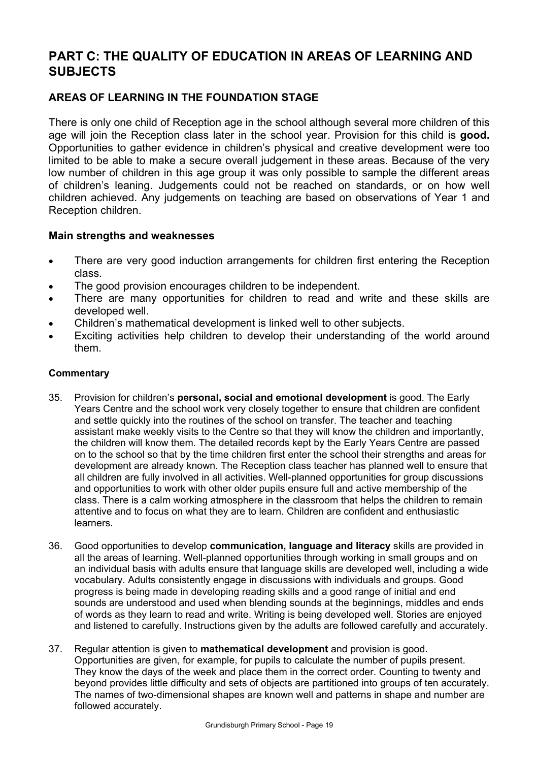# **PART C: THE QUALITY OF EDUCATION IN AREAS OF LEARNING AND SUBJECTS**

### **AREAS OF LEARNING IN THE FOUNDATION STAGE**

There is only one child of Reception age in the school although several more children of this age will join the Reception class later in the school year. Provision for this child is **good.**  Opportunities to gather evidence in children's physical and creative development were too limited to be able to make a secure overall judgement in these areas. Because of the very low number of children in this age group it was only possible to sample the different areas of children's leaning. Judgements could not be reached on standards, or on how well children achieved. Any judgements on teaching are based on observations of Year 1 and Reception children.

### **Main strengths and weaknesses**

- There are very good induction arrangements for children first entering the Reception class.
- The good provision encourages children to be independent.
- There are many opportunities for children to read and write and these skills are developed well.
- Children's mathematical development is linked well to other subjects.
- Exciting activities help children to develop their understanding of the world around them.

- 35. Provision for children's **personal, social and emotional development** is good. The Early Years Centre and the school work very closely together to ensure that children are confident and settle quickly into the routines of the school on transfer. The teacher and teaching assistant make weekly visits to the Centre so that they will know the children and importantly, the children will know them. The detailed records kept by the Early Years Centre are passed on to the school so that by the time children first enter the school their strengths and areas for development are already known. The Reception class teacher has planned well to ensure that all children are fully involved in all activities. Well-planned opportunities for group discussions and opportunities to work with other older pupils ensure full and active membership of the class. There is a calm working atmosphere in the classroom that helps the children to remain attentive and to focus on what they are to learn. Children are confident and enthusiastic learners.
- 36. Good opportunities to develop **communication, language and literacy** skills are provided in all the areas of learning. Well-planned opportunities through working in small groups and on an individual basis with adults ensure that language skills are developed well, including a wide vocabulary. Adults consistently engage in discussions with individuals and groups. Good progress is being made in developing reading skills and a good range of initial and end sounds are understood and used when blending sounds at the beginnings, middles and ends of words as they learn to read and write. Writing is being developed well. Stories are enjoyed and listened to carefully. Instructions given by the adults are followed carefully and accurately.
- 37. Regular attention is given to **mathematical development** and provision is good. Opportunities are given, for example, for pupils to calculate the number of pupils present. They know the days of the week and place them in the correct order. Counting to twenty and beyond provides little difficulty and sets of objects are partitioned into groups of ten accurately. The names of two-dimensional shapes are known well and patterns in shape and number are followed accurately.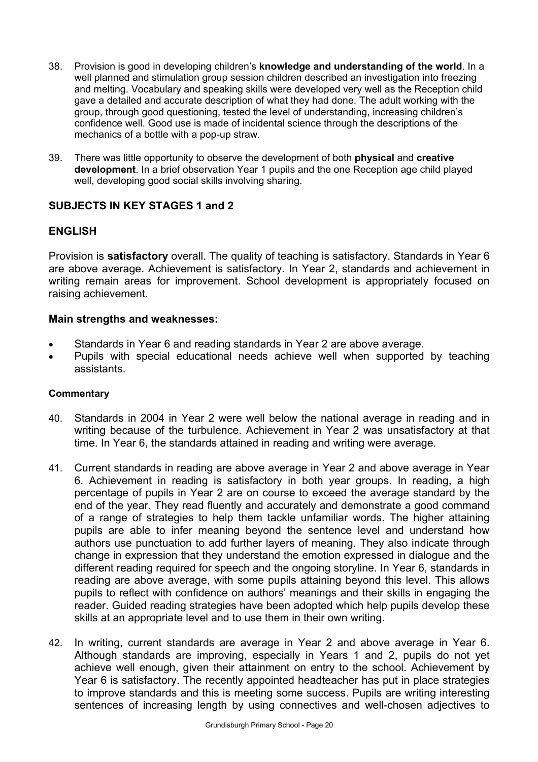- 38. Provision is good in developing children's **knowledge and understanding of the world**. In a well planned and stimulation group session children described an investigation into freezing and melting. Vocabulary and speaking skills were developed very well as the Reception child gave a detailed and accurate description of what they had done. The adult working with the group, through good questioning, tested the level of understanding, increasing children's confidence well. Good use is made of incidental science through the descriptions of the mechanics of a bottle with a pop-up straw.
- 39. There was little opportunity to observe the development of both **physical** and **creative development**. In a brief observation Year 1 pupils and the one Reception age child played well, developing good social skills involving sharing.

### **SUBJECTS IN KEY STAGES 1 and 2**

### **ENGLISH**

Provision is **satisfactory** overall. The quality of teaching is satisfactory. Standards in Year 6 are above average. Achievement is satisfactory. In Year 2, standards and achievement in writing remain areas for improvement. School development is appropriately focused on raising achievement.

### **Main strengths and weaknesses:**

- Standards in Year 6 and reading standards in Year 2 are above average.
- Pupils with special educational needs achieve well when supported by teaching assistants.

- 40. Standards in 2004 in Year 2 were well below the national average in reading and in writing because of the turbulence. Achievement in Year 2 was unsatisfactory at that time. In Year 6, the standards attained in reading and writing were average.
- 41. Current standards in reading are above average in Year 2 and above average in Year 6. Achievement in reading is satisfactory in both year groups. In reading, a high percentage of pupils in Year 2 are on course to exceed the average standard by the end of the year. They read fluently and accurately and demonstrate a good command of a range of strategies to help them tackle unfamiliar words. The higher attaining pupils are able to infer meaning beyond the sentence level and understand how authors use punctuation to add further layers of meaning. They also indicate through change in expression that they understand the emotion expressed in dialogue and the different reading required for speech and the ongoing storyline. In Year 6, standards in reading are above average, with some pupils attaining beyond this level. This allows pupils to reflect with confidence on authors' meanings and their skills in engaging the reader. Guided reading strategies have been adopted which help pupils develop these skills at an appropriate level and to use them in their own writing.
- 42. In writing, current standards are average in Year 2 and above average in Year 6. Although standards are improving, especially in Years 1 and 2, pupils do not yet achieve well enough, given their attainment on entry to the school. Achievement by Year 6 is satisfactory. The recently appointed headteacher has put in place strategies to improve standards and this is meeting some success. Pupils are writing interesting sentences of increasing length by using connectives and well-chosen adjectives to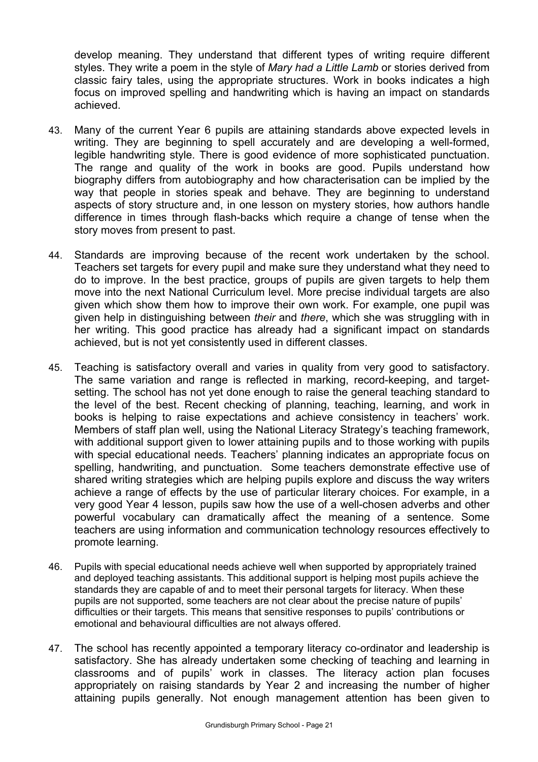develop meaning. They understand that different types of writing require different styles. They write a poem in the style of *Mary had a Little Lamb* or stories derived from classic fairy tales, using the appropriate structures. Work in books indicates a high focus on improved spelling and handwriting which is having an impact on standards achieved.

- 43. Many of the current Year 6 pupils are attaining standards above expected levels in writing. They are beginning to spell accurately and are developing a well-formed, legible handwriting style. There is good evidence of more sophisticated punctuation. The range and quality of the work in books are good. Pupils understand how biography differs from autobiography and how characterisation can be implied by the way that people in stories speak and behave. They are beginning to understand aspects of story structure and, in one lesson on mystery stories, how authors handle difference in times through flash-backs which require a change of tense when the story moves from present to past.
- 44. Standards are improving because of the recent work undertaken by the school. Teachers set targets for every pupil and make sure they understand what they need to do to improve. In the best practice, groups of pupils are given targets to help them move into the next National Curriculum level. More precise individual targets are also given which show them how to improve their own work. For example, one pupil was given help in distinguishing between *their* and *there*, which she was struggling with in her writing. This good practice has already had a significant impact on standards achieved, but is not yet consistently used in different classes.
- 45. Teaching is satisfactory overall and varies in quality from very good to satisfactory. The same variation and range is reflected in marking, record-keeping, and targetsetting. The school has not yet done enough to raise the general teaching standard to the level of the best. Recent checking of planning, teaching, learning, and work in books is helping to raise expectations and achieve consistency in teachers' work. Members of staff plan well, using the National Literacy Strategy's teaching framework, with additional support given to lower attaining pupils and to those working with pupils with special educational needs. Teachers' planning indicates an appropriate focus on spelling, handwriting, and punctuation. Some teachers demonstrate effective use of shared writing strategies which are helping pupils explore and discuss the way writers achieve a range of effects by the use of particular literary choices. For example, in a very good Year 4 lesson, pupils saw how the use of a well-chosen adverbs and other powerful vocabulary can dramatically affect the meaning of a sentence. Some teachers are using information and communication technology resources effectively to promote learning.
- 46. Pupils with special educational needs achieve well when supported by appropriately trained and deployed teaching assistants. This additional support is helping most pupils achieve the standards they are capable of and to meet their personal targets for literacy. When these pupils are not supported, some teachers are not clear about the precise nature of pupils' difficulties or their targets. This means that sensitive responses to pupils' contributions or emotional and behavioural difficulties are not always offered.
- 47. The school has recently appointed a temporary literacy co-ordinator and leadership is satisfactory. She has already undertaken some checking of teaching and learning in classrooms and of pupils' work in classes. The literacy action plan focuses appropriately on raising standards by Year 2 and increasing the number of higher attaining pupils generally. Not enough management attention has been given to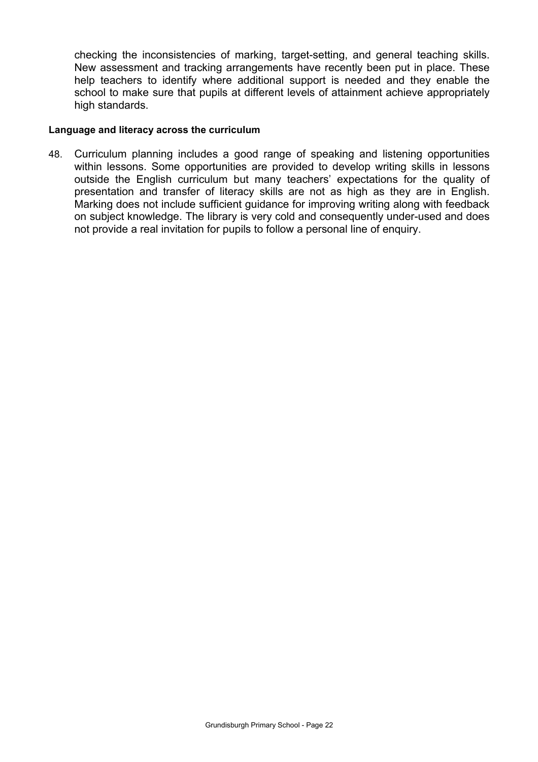checking the inconsistencies of marking, target-setting, and general teaching skills. New assessment and tracking arrangements have recently been put in place. These help teachers to identify where additional support is needed and they enable the school to make sure that pupils at different levels of attainment achieve appropriately high standards.

#### **Language and literacy across the curriculum**

48. Curriculum planning includes a good range of speaking and listening opportunities within lessons. Some opportunities are provided to develop writing skills in lessons outside the English curriculum but many teachers' expectations for the quality of presentation and transfer of literacy skills are not as high as they are in English. Marking does not include sufficient guidance for improving writing along with feedback on subject knowledge. The library is very cold and consequently under-used and does not provide a real invitation for pupils to follow a personal line of enquiry.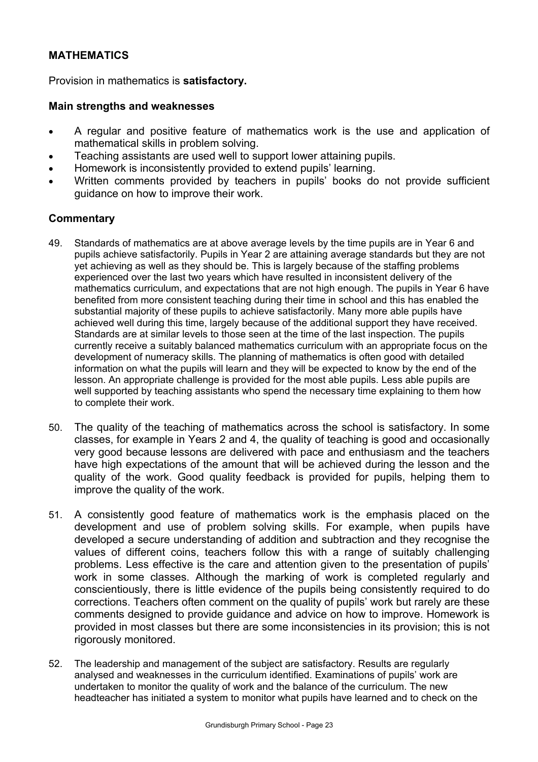### **MATHEMATICS**

Provision in mathematics is **satisfactory.**

### **Main strengths and weaknesses**

- A regular and positive feature of mathematics work is the use and application of mathematical skills in problem solving.
- Teaching assistants are used well to support lower attaining pupils.
- Homework is inconsistently provided to extend pupils' learning.
- Written comments provided by teachers in pupils' books do not provide sufficient guidance on how to improve their work.

- 49. Standards of mathematics are at above average levels by the time pupils are in Year 6 and pupils achieve satisfactorily. Pupils in Year 2 are attaining average standards but they are not yet achieving as well as they should be. This is largely because of the staffing problems experienced over the last two years which have resulted in inconsistent delivery of the mathematics curriculum, and expectations that are not high enough. The pupils in Year 6 have benefited from more consistent teaching during their time in school and this has enabled the substantial majority of these pupils to achieve satisfactorily. Many more able pupils have achieved well during this time, largely because of the additional support they have received. Standards are at similar levels to those seen at the time of the last inspection. The pupils currently receive a suitably balanced mathematics curriculum with an appropriate focus on the development of numeracy skills. The planning of mathematics is often good with detailed information on what the pupils will learn and they will be expected to know by the end of the lesson. An appropriate challenge is provided for the most able pupils. Less able pupils are well supported by teaching assistants who spend the necessary time explaining to them how to complete their work.
- 50. The quality of the teaching of mathematics across the school is satisfactory. In some classes, for example in Years 2 and 4, the quality of teaching is good and occasionally very good because lessons are delivered with pace and enthusiasm and the teachers have high expectations of the amount that will be achieved during the lesson and the quality of the work. Good quality feedback is provided for pupils, helping them to improve the quality of the work.
- 51. A consistently good feature of mathematics work is the emphasis placed on the development and use of problem solving skills. For example, when pupils have developed a secure understanding of addition and subtraction and they recognise the values of different coins, teachers follow this with a range of suitably challenging problems. Less effective is the care and attention given to the presentation of pupils' work in some classes. Although the marking of work is completed regularly and conscientiously, there is little evidence of the pupils being consistently required to do corrections. Teachers often comment on the quality of pupils' work but rarely are these comments designed to provide guidance and advice on how to improve. Homework is provided in most classes but there are some inconsistencies in its provision; this is not rigorously monitored.
- 52. The leadership and management of the subject are satisfactory. Results are regularly analysed and weaknesses in the curriculum identified. Examinations of pupils' work are undertaken to monitor the quality of work and the balance of the curriculum. The new headteacher has initiated a system to monitor what pupils have learned and to check on the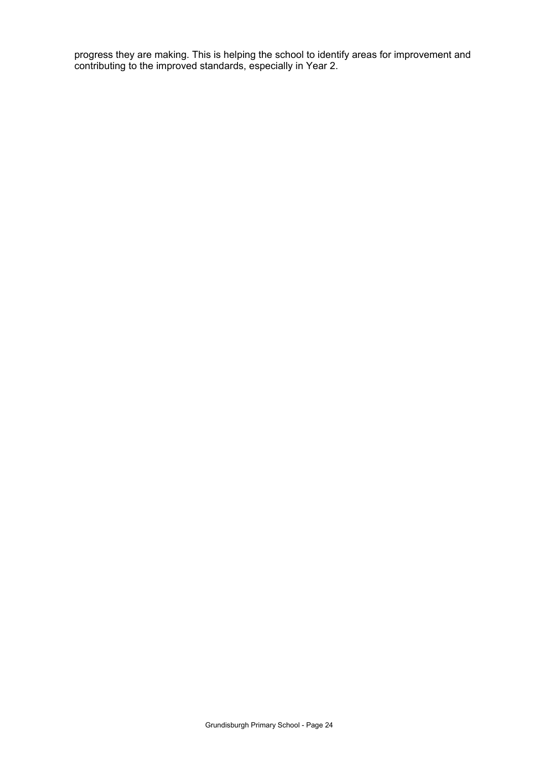progress they are making. This is helping the school to identify areas for improvement and contributing to the improved standards, especially in Year 2.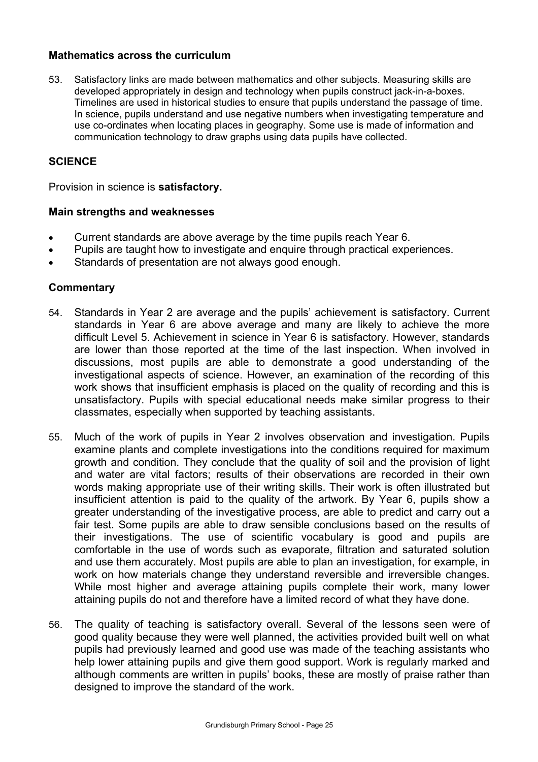### **Mathematics across the curriculum**

53. Satisfactory links are made between mathematics and other subjects. Measuring skills are developed appropriately in design and technology when pupils construct jack-in-a-boxes. Timelines are used in historical studies to ensure that pupils understand the passage of time. In science, pupils understand and use negative numbers when investigating temperature and use co-ordinates when locating places in geography. Some use is made of information and communication technology to draw graphs using data pupils have collected.

### **SCIENCE**

Provision in science is **satisfactory.**

#### **Main strengths and weaknesses**

- Current standards are above average by the time pupils reach Year 6.
- Pupils are taught how to investigate and enquire through practical experiences.
- Standards of presentation are not always good enough.

- 54. Standards in Year 2 are average and the pupils' achievement is satisfactory. Current standards in Year 6 are above average and many are likely to achieve the more difficult Level 5. Achievement in science in Year 6 is satisfactory. However, standards are lower than those reported at the time of the last inspection. When involved in discussions, most pupils are able to demonstrate a good understanding of the investigational aspects of science. However, an examination of the recording of this work shows that insufficient emphasis is placed on the quality of recording and this is unsatisfactory. Pupils with special educational needs make similar progress to their classmates, especially when supported by teaching assistants.
- 55. Much of the work of pupils in Year 2 involves observation and investigation. Pupils examine plants and complete investigations into the conditions required for maximum growth and condition. They conclude that the quality of soil and the provision of light and water are vital factors; results of their observations are recorded in their own words making appropriate use of their writing skills. Their work is often illustrated but insufficient attention is paid to the quality of the artwork. By Year 6, pupils show a greater understanding of the investigative process, are able to predict and carry out a fair test. Some pupils are able to draw sensible conclusions based on the results of their investigations. The use of scientific vocabulary is good and pupils are comfortable in the use of words such as evaporate, filtration and saturated solution and use them accurately. Most pupils are able to plan an investigation, for example, in work on how materials change they understand reversible and irreversible changes. While most higher and average attaining pupils complete their work, many lower attaining pupils do not and therefore have a limited record of what they have done.
- 56. The quality of teaching is satisfactory overall. Several of the lessons seen were of good quality because they were well planned, the activities provided built well on what pupils had previously learned and good use was made of the teaching assistants who help lower attaining pupils and give them good support. Work is regularly marked and although comments are written in pupils' books, these are mostly of praise rather than designed to improve the standard of the work.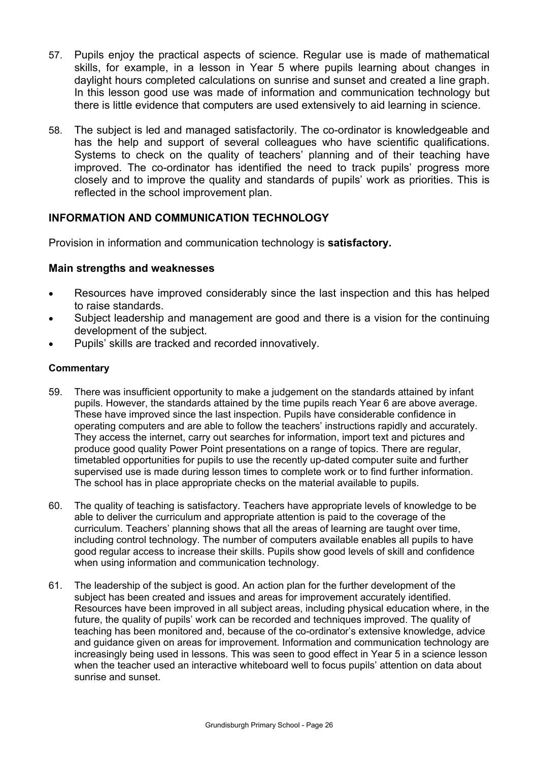- 57. Pupils enjoy the practical aspects of science. Regular use is made of mathematical skills, for example, in a lesson in Year 5 where pupils learning about changes in daylight hours completed calculations on sunrise and sunset and created a line graph. In this lesson good use was made of information and communication technology but there is little evidence that computers are used extensively to aid learning in science.
- 58. The subject is led and managed satisfactorily. The co-ordinator is knowledgeable and has the help and support of several colleagues who have scientific qualifications. Systems to check on the quality of teachers' planning and of their teaching have improved. The co-ordinator has identified the need to track pupils' progress more closely and to improve the quality and standards of pupils' work as priorities. This is reflected in the school improvement plan.

### **INFORMATION AND COMMUNICATION TECHNOLOGY**

Provision in information and communication technology is **satisfactory.**

### **Main strengths and weaknesses**

- Resources have improved considerably since the last inspection and this has helped to raise standards.
- Subject leadership and management are good and there is a vision for the continuing development of the subject.
- Pupils' skills are tracked and recorded innovatively.

- 59. There was insufficient opportunity to make a judgement on the standards attained by infant pupils. However, the standards attained by the time pupils reach Year 6 are above average. These have improved since the last inspection. Pupils have considerable confidence in operating computers and are able to follow the teachers' instructions rapidly and accurately. They access the internet, carry out searches for information, import text and pictures and produce good quality Power Point presentations on a range of topics. There are regular, timetabled opportunities for pupils to use the recently up-dated computer suite and further supervised use is made during lesson times to complete work or to find further information. The school has in place appropriate checks on the material available to pupils.
- 60. The quality of teaching is satisfactory. Teachers have appropriate levels of knowledge to be able to deliver the curriculum and appropriate attention is paid to the coverage of the curriculum. Teachers' planning shows that all the areas of learning are taught over time, including control technology. The number of computers available enables all pupils to have good regular access to increase their skills. Pupils show good levels of skill and confidence when using information and communication technology.
- 61. The leadership of the subject is good. An action plan for the further development of the subject has been created and issues and areas for improvement accurately identified. Resources have been improved in all subject areas, including physical education where, in the future, the quality of pupils' work can be recorded and techniques improved. The quality of teaching has been monitored and, because of the co-ordinator's extensive knowledge, advice and guidance given on areas for improvement. Information and communication technology are increasingly being used in lessons. This was seen to good effect in Year 5 in a science lesson when the teacher used an interactive whiteboard well to focus pupils' attention on data about sunrise and sunset.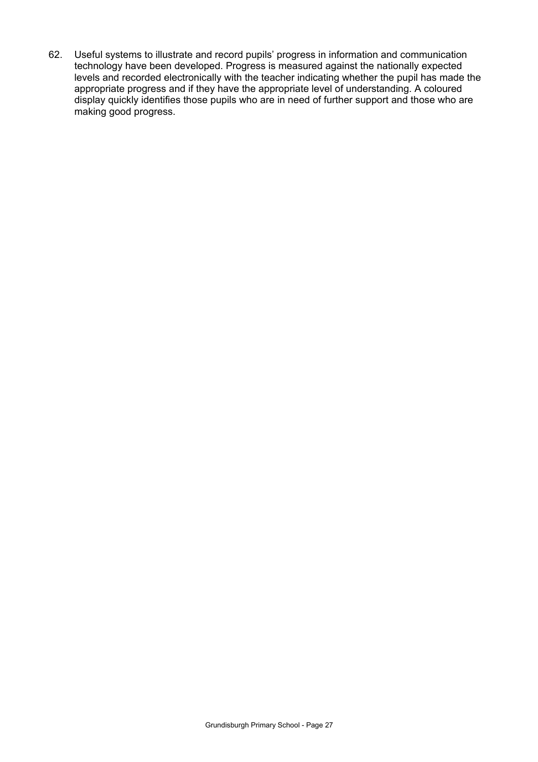62. Useful systems to illustrate and record pupils' progress in information and communication technology have been developed. Progress is measured against the nationally expected levels and recorded electronically with the teacher indicating whether the pupil has made the appropriate progress and if they have the appropriate level of understanding. A coloured display quickly identifies those pupils who are in need of further support and those who are making good progress.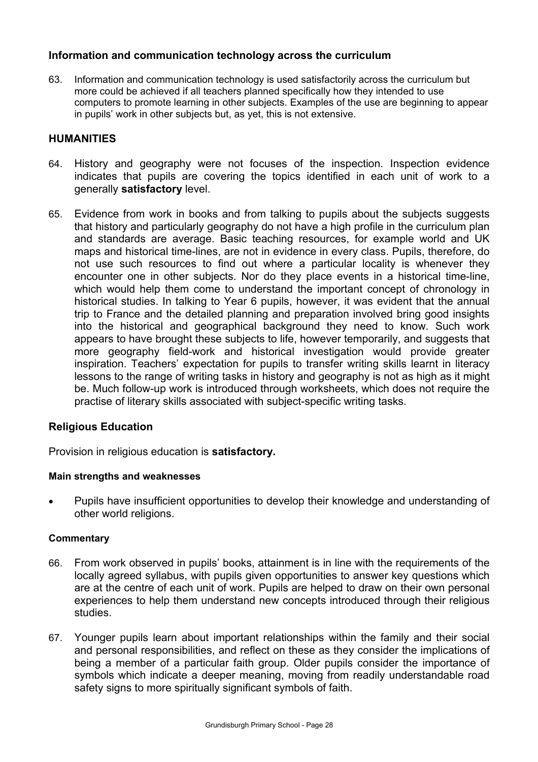### **Information and communication technology across the curriculum**

63. Information and communication technology is used satisfactorily across the curriculum but more could be achieved if all teachers planned specifically how they intended to use computers to promote learning in other subjects. Examples of the use are beginning to appear in pupils' work in other subjects but, as yet, this is not extensive.

### **HUMANITIES**

- 64. History and geography were not focuses of the inspection. Inspection evidence indicates that pupils are covering the topics identified in each unit of work to a generally **satisfactory** level.
- 65. Evidence from work in books and from talking to pupils about the subjects suggests that history and particularly geography do not have a high profile in the curriculum plan and standards are average. Basic teaching resources, for example world and UK maps and historical time-lines, are not in evidence in every class. Pupils, therefore, do not use such resources to find out where a particular locality is whenever they encounter one in other subjects. Nor do they place events in a historical time-line, which would help them come to understand the important concept of chronology in historical studies. In talking to Year 6 pupils, however, it was evident that the annual trip to France and the detailed planning and preparation involved bring good insights into the historical and geographical background they need to know. Such work appears to have brought these subjects to life, however temporarily, and suggests that more geography field-work and historical investigation would provide greater inspiration. Teachers' expectation for pupils to transfer writing skills learnt in literacy lessons to the range of writing tasks in history and geography is not as high as it might be. Much follow-up work is introduced through worksheets, which does not require the practise of literary skills associated with subject-specific writing tasks.

### **Religious Education**

Provision in religious education is **satisfactory.**

#### **Main strengths and weaknesses**

• Pupils have insufficient opportunities to develop their knowledge and understanding of other world religions.

- 66. From work observed in pupils' books, attainment is in line with the requirements of the locally agreed syllabus, with pupils given opportunities to answer key questions which are at the centre of each unit of work. Pupils are helped to draw on their own personal experiences to help them understand new concepts introduced through their religious studies.
- 67. Younger pupils learn about important relationships within the family and their social and personal responsibilities, and reflect on these as they consider the implications of being a member of a particular faith group. Older pupils consider the importance of symbols which indicate a deeper meaning, moving from readily understandable road safety signs to more spiritually significant symbols of faith.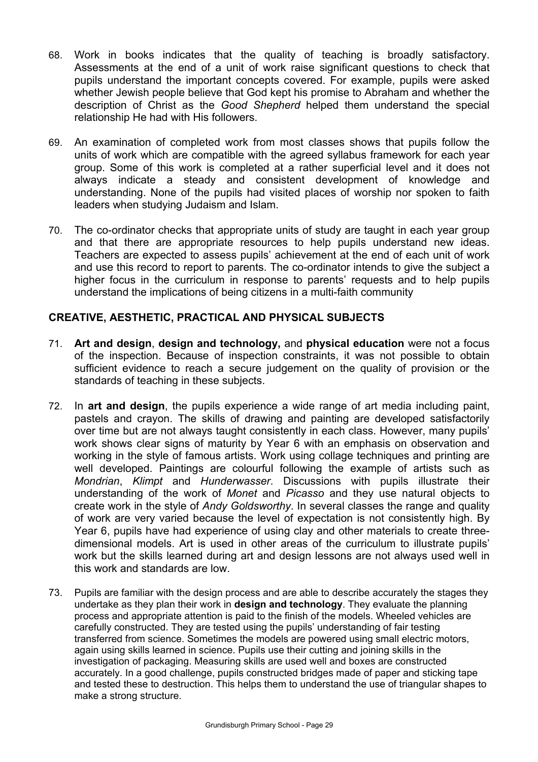- 68. Work in books indicates that the quality of teaching is broadly satisfactory. Assessments at the end of a unit of work raise significant questions to check that pupils understand the important concepts covered. For example, pupils were asked whether Jewish people believe that God kept his promise to Abraham and whether the description of Christ as the *Good Shepherd* helped them understand the special relationship He had with His followers.
- 69. An examination of completed work from most classes shows that pupils follow the units of work which are compatible with the agreed syllabus framework for each year group. Some of this work is completed at a rather superficial level and it does not always indicate a steady and consistent development of knowledge and understanding. None of the pupils had visited places of worship nor spoken to faith leaders when studying Judaism and Islam.
- 70. The co-ordinator checks that appropriate units of study are taught in each year group and that there are appropriate resources to help pupils understand new ideas. Teachers are expected to assess pupils' achievement at the end of each unit of work and use this record to report to parents. The co-ordinator intends to give the subject a higher focus in the curriculum in response to parents' requests and to help pupils understand the implications of being citizens in a multi-faith community

### **CREATIVE, AESTHETIC, PRACTICAL AND PHYSICAL SUBJECTS**

- 71. **Art and design**, **design and technology,** and **physical education** were not a focus of the inspection. Because of inspection constraints, it was not possible to obtain sufficient evidence to reach a secure judgement on the quality of provision or the standards of teaching in these subjects.
- 72. In **art and design**, the pupils experience a wide range of art media including paint, pastels and crayon. The skills of drawing and painting are developed satisfactorily over time but are not always taught consistently in each class. However, many pupils' work shows clear signs of maturity by Year 6 with an emphasis on observation and working in the style of famous artists. Work using collage techniques and printing are well developed. Paintings are colourful following the example of artists such as *Mondrian*, *Klimpt* and *Hunderwasser*. Discussions with pupils illustrate their understanding of the work of *Monet* and *Picasso* and they use natural objects to create work in the style of *Andy Goldsworthy*. In several classes the range and quality of work are very varied because the level of expectation is not consistently high. By Year 6, pupils have had experience of using clay and other materials to create threedimensional models. Art is used in other areas of the curriculum to illustrate pupils' work but the skills learned during art and design lessons are not always used well in this work and standards are low.
- 73. Pupils are familiar with the design process and are able to describe accurately the stages they undertake as they plan their work in **design and technology**. They evaluate the planning process and appropriate attention is paid to the finish of the models. Wheeled vehicles are carefully constructed. They are tested using the pupils' understanding of fair testing transferred from science. Sometimes the models are powered using small electric motors, again using skills learned in science. Pupils use their cutting and joining skills in the investigation of packaging. Measuring skills are used well and boxes are constructed accurately. In a good challenge, pupils constructed bridges made of paper and sticking tape and tested these to destruction. This helps them to understand the use of triangular shapes to make a strong structure.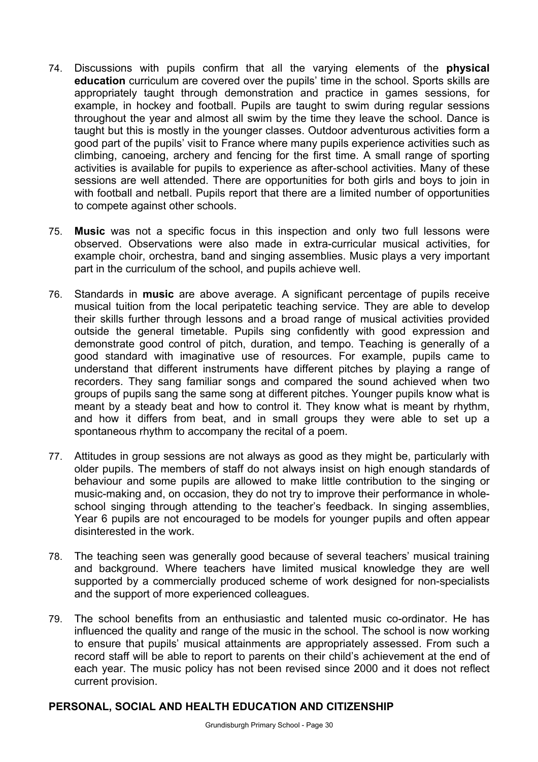- 74. Discussions with pupils confirm that all the varying elements of the **physical education** curriculum are covered over the pupils' time in the school. Sports skills are appropriately taught through demonstration and practice in games sessions, for example, in hockey and football. Pupils are taught to swim during regular sessions throughout the year and almost all swim by the time they leave the school. Dance is taught but this is mostly in the younger classes. Outdoor adventurous activities form a good part of the pupils' visit to France where many pupils experience activities such as climbing, canoeing, archery and fencing for the first time. A small range of sporting activities is available for pupils to experience as after-school activities. Many of these sessions are well attended. There are opportunities for both girls and boys to join in with football and netball. Pupils report that there are a limited number of opportunities to compete against other schools.
- 75. **Music** was not a specific focus in this inspection and only two full lessons were observed. Observations were also made in extra-curricular musical activities, for example choir, orchestra, band and singing assemblies. Music plays a very important part in the curriculum of the school, and pupils achieve well.
- 76. Standards in **music** are above average. A significant percentage of pupils receive musical tuition from the local peripatetic teaching service. They are able to develop their skills further through lessons and a broad range of musical activities provided outside the general timetable. Pupils sing confidently with good expression and demonstrate good control of pitch, duration, and tempo. Teaching is generally of a good standard with imaginative use of resources. For example, pupils came to understand that different instruments have different pitches by playing a range of recorders. They sang familiar songs and compared the sound achieved when two groups of pupils sang the same song at different pitches. Younger pupils know what is meant by a steady beat and how to control it. They know what is meant by rhythm, and how it differs from beat, and in small groups they were able to set up a spontaneous rhythm to accompany the recital of a poem.
- 77. Attitudes in group sessions are not always as good as they might be, particularly with older pupils. The members of staff do not always insist on high enough standards of behaviour and some pupils are allowed to make little contribution to the singing or music-making and, on occasion, they do not try to improve their performance in wholeschool singing through attending to the teacher's feedback. In singing assemblies, Year 6 pupils are not encouraged to be models for younger pupils and often appear disinterested in the work.
- 78. The teaching seen was generally good because of several teachers' musical training and background. Where teachers have limited musical knowledge they are well supported by a commercially produced scheme of work designed for non-specialists and the support of more experienced colleagues.
- 79. The school benefits from an enthusiastic and talented music co-ordinator. He has influenced the quality and range of the music in the school. The school is now working to ensure that pupils' musical attainments are appropriately assessed. From such a record staff will be able to report to parents on their child's achievement at the end of each year. The music policy has not been revised since 2000 and it does not reflect current provision.

### **PERSONAL, SOCIAL AND HEALTH EDUCATION AND CITIZENSHIP**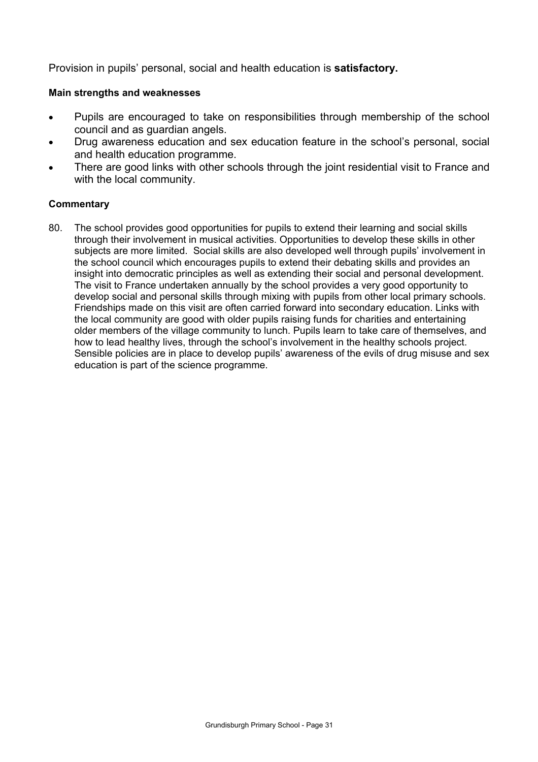Provision in pupils' personal, social and health education is **satisfactory.** 

#### **Main strengths and weaknesses**

- Pupils are encouraged to take on responsibilities through membership of the school council and as guardian angels.
- Drug awareness education and sex education feature in the school's personal, social and health education programme.
- There are good links with other schools through the joint residential visit to France and with the local community.

#### **Commentary**

80. The school provides good opportunities for pupils to extend their learning and social skills through their involvement in musical activities. Opportunities to develop these skills in other subjects are more limited. Social skills are also developed well through pupils' involvement in the school council which encourages pupils to extend their debating skills and provides an insight into democratic principles as well as extending their social and personal development. The visit to France undertaken annually by the school provides a very good opportunity to develop social and personal skills through mixing with pupils from other local primary schools. Friendships made on this visit are often carried forward into secondary education. Links with the local community are good with older pupils raising funds for charities and entertaining older members of the village community to lunch. Pupils learn to take care of themselves, and how to lead healthy lives, through the school's involvement in the healthy schools project. Sensible policies are in place to develop pupils' awareness of the evils of drug misuse and sex education is part of the science programme.